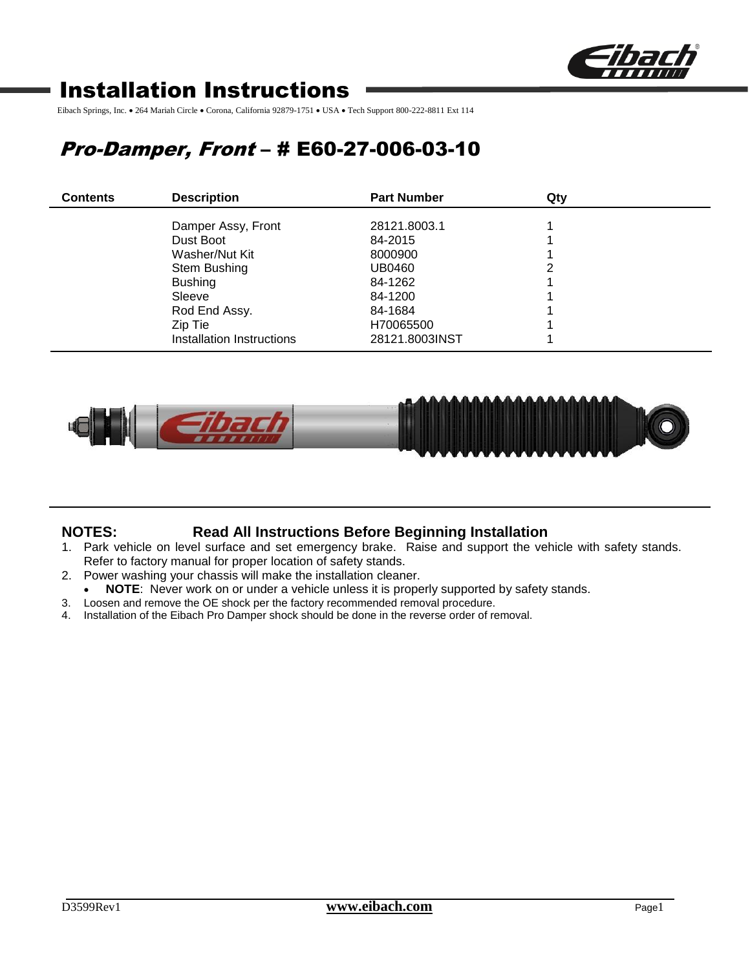

# Installation Instructions

Eibach Springs, Inc. • 264 Mariah Circle • Corona, California 92879-1751 • USA • Tech Support 800-222-8811 Ext 114

# Pro-Damper, Front – # E60-27-006-03-10

| <b>Contents</b> | <b>Description</b>        | <b>Part Number</b> | Qty |  |
|-----------------|---------------------------|--------------------|-----|--|
|                 | Damper Assy, Front        | 28121.8003.1       |     |  |
|                 | Dust Boot                 | 84-2015            |     |  |
|                 | Washer/Nut Kit            | 8000900            |     |  |
|                 | Stem Bushing              | UB0460             |     |  |
|                 | <b>Bushing</b>            | 84-1262            |     |  |
|                 | Sleeve                    | 84-1200            |     |  |
|                 | Rod End Assy.             | 84-1684            |     |  |
|                 | Zip Tie                   | H70065500          |     |  |
|                 | Installation Instructions | 28121.8003INST     |     |  |



## **NOTES: Read All Instructions Before Beginning Installation**

- 1. Park vehicle on level surface and set emergency brake. Raise and support the vehicle with safety stands. Refer to factory manual for proper location of safety stands.
- 2. Power washing your chassis will make the installation cleaner.
	- NOTE: Never work on or under a vehicle unless it is properly supported by safety stands.
- 3. Loosen and remove the OE shock per the factory recommended removal procedure.
- 4. Installation of the Eibach Pro Damper shock should be done in the reverse order of removal.